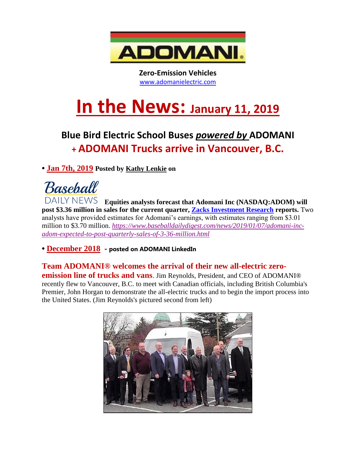

**Zero-Emission Vehicles** [www.adomanielectric.com](http://www.adomanielectric.com/)

## **In the News: January 11, <sup>2019</sup>**

## **Blue Bird Electric School Buses** *powered by* **ADOMANI + ADOMANI Trucks arrive in Vancouver, B.C.**

**• Jan 7th, 2019 Posted by [Kathy Lenkie](https://www.baseballdailydigest.com/news/author/bbddkathy) on**



**Equities analysts forecast that Adomani Inc (NASDAQ:ADOM) will post \$3.36 million in sales for the current quarter, [Zacks Investment Research](https://www.americanconsumernews.net/scripts/click.aspx?Zacks=1) reports.** Two analysts have provided estimates for Adomani's earnings, with estimates ranging from \$3.01 million to \$3.70 million. *[https://www.baseballdailydigest.com/news/2019/01/07/adomani-inc](https://www.baseballdailydigest.com/news/2019/01/07/adomani-inc-adom-expected-to-post-quarterly-sales-of-3-36-million.html)[adom-expected-to-post-quarterly-sales-of-3-36-million.html](https://www.baseballdailydigest.com/news/2019/01/07/adomani-inc-adom-expected-to-post-quarterly-sales-of-3-36-million.html)*

**• December 2018 - posted on ADOMANI LinkedIn**

**Team ADOMANI® welcomes the arrival of their new all-electric zeroemission line of trucks and vans**. Jim Reynolds, President, and CEO of ADOMANI® recently flew to Vancouver, B.C. to meet with Canadian officials, including British Columbia's Premier, John Horgan to demonstrate the all-electric trucks and to begin the import process into the United States. (Jim Reynolds's pictured second from left)

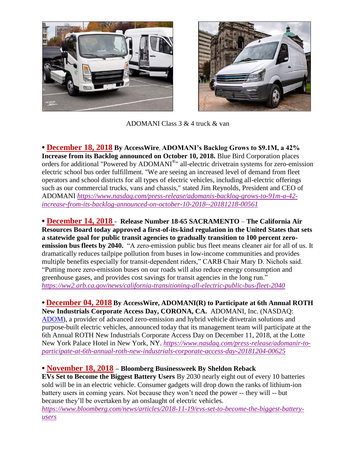



ADOMANI Class 3 & 4 truck & van

**• December 18, 2018 By AccessWire**, **ADOMANI's Backlog Grows to \$9.1M, a 42% Increase from its Backlog announced on October 10, 2018.** Blue Bird Corporation places orders for additional "Powered by ADOMANI®" all-electric drivetrain systems for zero-emission electric school bus order fulfillment. "We are seeing an increased level of demand from fleet operators and school districts for all types of electric vehicles, including all-electric offerings such as our commercial trucks, vans and chassis," stated Jim Reynolds, President and CEO of ADOMANI *[https://www.nasdaq.com/press-release/adomanis-backlog-grows-to-91m-a-42](https://www.nasdaq.com/press-release/adomanis-backlog-grows-to-91m-a-42-increase-from-its-backlog-announced-on-october-10-2018--20181218-00561) [increase-from-its-backlog-announced-on-october-10-2018--20181218-00561](https://www.nasdaq.com/press-release/adomanis-backlog-grows-to-91m-a-42-increase-from-its-backlog-announced-on-october-10-2018--20181218-00561)*

**• December 14, 2018** - **Release Number 18-65 SACRAMENTO** – **The California Air Resources Board today approved a first-of-its-kind regulation in the United States that sets a statewide goal for public transit agencies to gradually transition to 100 percent zeroemission bus fleets by 2040.** "A zero-emission public bus fleet means cleaner air for all of us. It dramatically reduces tailpipe pollution from buses in low-income communities and provides multiple benefits especially for transit-dependent riders," CARB Chair Mary D. Nichols said. "Putting more zero-emission buses on our roads will also reduce energy consumption and greenhouse gases, and provides cost savings for transit agencies in the long run." *<https://ww2.arb.ca.gov/news/california-transitioning-all-electric-public-bus-fleet-2040>*

**• December 04, 2018 By AccessWire, ADOMANI(R) to Participate at 6th Annual ROTH New Industrials Corporate Access Day, CORONA, CA.** ADOMANI, Inc. (NASDAQ: [ADOM\)](http://pr.report/NCP10dzZ), a provider of advanced zero-emission and hybrid vehicle drivetrain solutions and purpose-built electric vehicles, announced today that its management team will participate at the 6th Annual ROTH New Industrials Corporate Access Day on December 11, 2018, at the Lotte New York Palace Hotel in New York, NY. *[https://www.nasdaq.com/press-release/adomanir-to](https://www.nasdaq.com/press-release/adomanir-to-participate-at-6th-annual-roth-new-industrials-corporate-access-day-20181204-00625)[participate-at-6th-annual-roth-new-industrials-corporate-access-day-20181204-00625](https://www.nasdaq.com/press-release/adomanir-to-participate-at-6th-annual-roth-new-industrials-corporate-access-day-20181204-00625)*

## **• November 18, 2018 – Bloomberg Businessweek By Sheldon Reback**

**EVs Set to Become the Biggest Battery Users** By 2030 nearly eight out of every 10 batteries sold will be in an electric vehicle. Consumer gadgets will drop down the ranks of lithium-ion battery users in coming years. Not because they won't need the power -- they will -- but because they'll be overtaken by an onslaught of electric vehicles.

*[https://www.bloomberg.com/news/articles/2018-11-19/evs-set-to-become-the-biggest-battery](https://www.bloomberg.com/news/articles/2018-11-19/evs-set-to-become-the-biggest-battery-users)[users](https://www.bloomberg.com/news/articles/2018-11-19/evs-set-to-become-the-biggest-battery-users)*